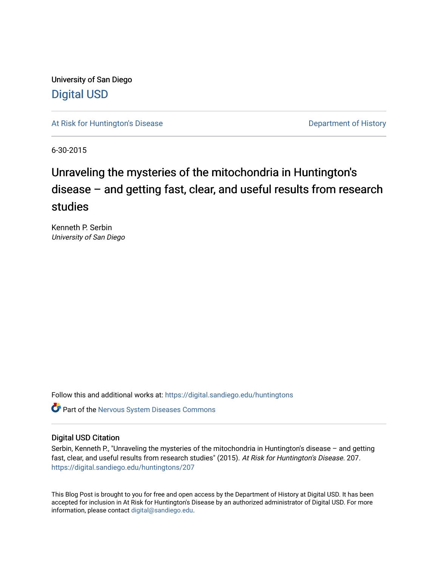University of San Diego [Digital USD](https://digital.sandiego.edu/)

[At Risk for Huntington's Disease](https://digital.sandiego.edu/huntingtons) **Department of History** Department of History

6-30-2015

# Unraveling the mysteries of the mitochondria in Huntington's disease – and getting fast, clear, and useful results from research studies

Kenneth P. Serbin University of San Diego

Follow this and additional works at: [https://digital.sandiego.edu/huntingtons](https://digital.sandiego.edu/huntingtons?utm_source=digital.sandiego.edu%2Fhuntingtons%2F207&utm_medium=PDF&utm_campaign=PDFCoverPages)

**C** Part of the [Nervous System Diseases Commons](http://network.bepress.com/hgg/discipline/928?utm_source=digital.sandiego.edu%2Fhuntingtons%2F207&utm_medium=PDF&utm_campaign=PDFCoverPages)

### Digital USD Citation

Serbin, Kenneth P., "Unraveling the mysteries of the mitochondria in Huntington's disease – and getting fast, clear, and useful results from research studies" (2015). At Risk for Huntington's Disease. 207. [https://digital.sandiego.edu/huntingtons/207](https://digital.sandiego.edu/huntingtons/207?utm_source=digital.sandiego.edu%2Fhuntingtons%2F207&utm_medium=PDF&utm_campaign=PDFCoverPages)

This Blog Post is brought to you for free and open access by the Department of History at Digital USD. It has been accepted for inclusion in At Risk for Huntington's Disease by an authorized administrator of Digital USD. For more information, please contact [digital@sandiego.edu.](mailto:digital@sandiego.edu)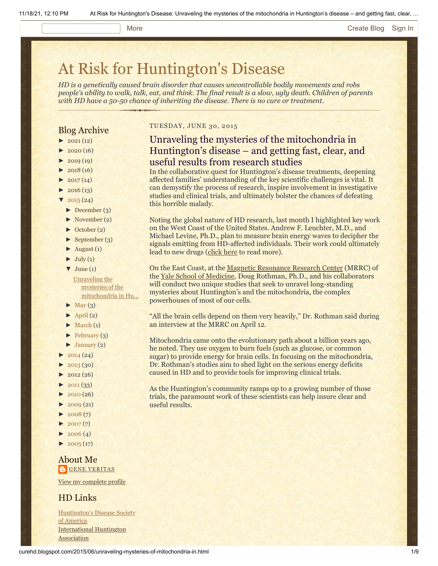#### More **[Create Blog](https://www.blogger.com/home#create) [Sign In](https://www.blogger.com/)**

# [At Risk for Huntington's Disease](http://curehd.blogspot.com/)

*HD is a genetically caused brain disorder that causes uncontrollable bodily movements and robs people's ability to walk, talk, eat, and think. The final result is a slow, ugly death. Children of parents with HD have a 50-50 chance of inheriting the disease. There is no cure or treatment.*

### Blog Archive

- $\blacktriangleright$  [2021](http://curehd.blogspot.com/2021/) (12)
- $2020(16)$  $2020(16)$
- $2019(19)$  $2019(19)$
- $2018(16)$  $2018(16)$
- $2017(14)$  $2017(14)$
- $2016(13)$  $2016(13)$
- $\sqrt{2015(24)}$  $\sqrt{2015(24)}$  $\sqrt{2015(24)}$
- [►](javascript:void(0)) [December](http://curehd.blogspot.com/2015/12/) (3)
- [►](javascript:void(0)) [November](http://curehd.blogspot.com/2015/11/) (2)
- [►](javascript:void(0)) [October](http://curehd.blogspot.com/2015/10/) (2)
- $\blacktriangleright$  [September](http://curehd.blogspot.com/2015/09/) (3)
- $\blacktriangleright$  [August](http://curehd.blogspot.com/2015/08/) (1)
- $\blacktriangleright$  [July](http://curehd.blogspot.com/2015/07/) (1)
- $\nabla$  [June](http://curehd.blogspot.com/2015/06/) (1)

Unraveling the mysteries of the [mitochondria](http://curehd.blogspot.com/2015/06/unraveling-mysteries-of-mitochondria-in.html) in Hu...

- $\blacktriangleright$  [May](http://curehd.blogspot.com/2015/05/) (3)
- $\blacktriangleright$  [April](http://curehd.blogspot.com/2015/04/) (2)
- $\blacktriangleright$  [March](http://curehd.blogspot.com/2015/03/)  $(1)$
- $\blacktriangleright$  [February](http://curehd.blogspot.com/2015/02/) (3)
- $\blacktriangleright$  [January](http://curehd.blogspot.com/2015/01/) (2)
- $2014(24)$  $2014(24)$
- [►](javascript:void(0)) [2013](http://curehd.blogspot.com/2013/) (30)
- $2012(26)$  $2012(26)$
- $\blacktriangleright$  [2011](http://curehd.blogspot.com/2011/) (33)
- $2010(26)$  $2010(26)$
- $\blacktriangleright$  [2009](http://curehd.blogspot.com/2009/) (21)
- $\blacktriangleright$  [2008](http://curehd.blogspot.com/2008/) (7)
- $2007(7)$  $2007(7)$
- $\blacktriangleright$  [2006](http://curehd.blogspot.com/2006/) (4)
- $\blacktriangleright$  [2005](http://curehd.blogspot.com/2005/) (17)
- 

#### About Me **GENE [VERITAS](https://www.blogger.com/profile/10911736205741688185)**

View my [complete](https://www.blogger.com/profile/10911736205741688185) profile

#### HD Links

[Huntington's](http://www.hdsa.org/) Disease Society of America [International](http://www.huntington-assoc.com/) Huntington **Association** 

#### TUESDAY, JUNE 30, 2015

## Unraveling the mysteries of the mitochondria in Huntington's disease – and getting fast, clear, and useful results from research studies

In the collaborative quest for Huntington's disease treatments, deepening affected families' understanding of the key scientific challenges is vital. It can demystify the process of research, inspire involvement in investigative studies and clinical trials, and ultimately bolster the chances of defeating this horrible malady.

Noting the global nature of HD research, last month I highlighted key work on the West Coast of the United States. Andrew F. Leuchter, M.D., and Michael Levine, Ph.D., plan to measure brain energy waves to decipher the signals emitting from HD-affected individuals. Their work could ultimately lead to new drugs ([click here](http://www.curehd.blogspot.com/2015/05/deciphering-signals-from-huntingtons.html) to read more).

On the East Coast, at the [Magnetic Resonance Research Center](http://mrrc.yale.edu/) (MRRC) of the [Yale School of Medicine,](http://medicine.yale.edu/) Doug Rothman, Ph.D., and his collaborators will conduct two unique studies that seek to unravel long-standing mysteries about Huntington's and the mitochondria, the complex powerhouses of most of our cells.

"All the brain cells depend on them very heavily," Dr. Rothman said during an interview at the MRRC on April 12.

Mitochondria came onto the evolutionary path about a billion years ago, he noted. They use oxygen to burn fuels (such as glucose, or common sugar) to provide energy for brain cells. In focusing on the mitochondria, Dr. Rothman's studies aim to shed light on the serious energy deficits caused in HD and to provide tools for improving clinical trials.

As the Huntington's community ramps up to a growing number of those trials, the paramount work of these scientists can help insure clear and useful results.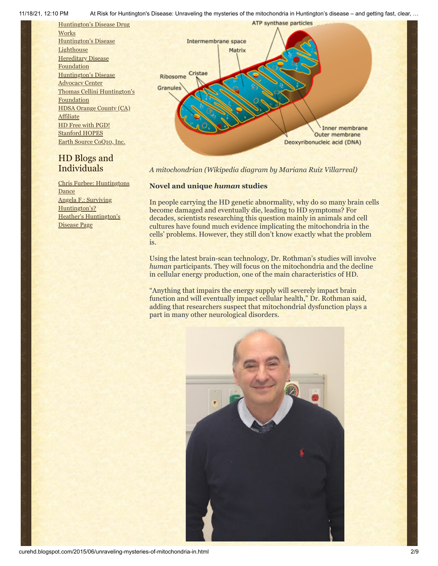Individuals

Angela F.: Surviving [Huntington's?](http://survivinghuntingtons.blogspot.com/)

Disease Page

Heather's [Huntington's](http://heatherdugdale.angelfire.com/)

**Dance** 

Chris Furbee: [Huntingtons](http://www.huntingtonsdance.org/)

11/18/21, 12:10 PM At Risk for Huntington's Disease: Unraveling the mysteries of the mitochondria in Huntington's disease – and getting fast, clear, …



*A mitochondrian (Wikipedia diagram by Mariana Ruiz Villarreal)*

#### **Novel and unique** *human* **studies**

In people carrying the HD genetic abnormality, why do so many brain cells become damaged and eventually die, leading to HD symptoms? For decades, scientists researching this question mainly in animals and cell cultures have found much evidence implicating the mitochondria in the cells' problems. However, they still don't know exactly what the problem is.

Using the latest brain-scan technology, Dr. Rothman's studies will involve *human* participants. They will focus on the mitochondria and the decline in cellular energy production, one of the main characteristics of HD.

"Anything that impairs the energy supply will severely impact brain function and will eventually impact cellular health," Dr. Rothman said, adding that researchers suspect that mitochondrial dysfunction plays a part in many other neurological disorders.



```
curehd.blogspot.com/2015/06/unraveling-mysteries-of-mitochondria-in.html 2/9
```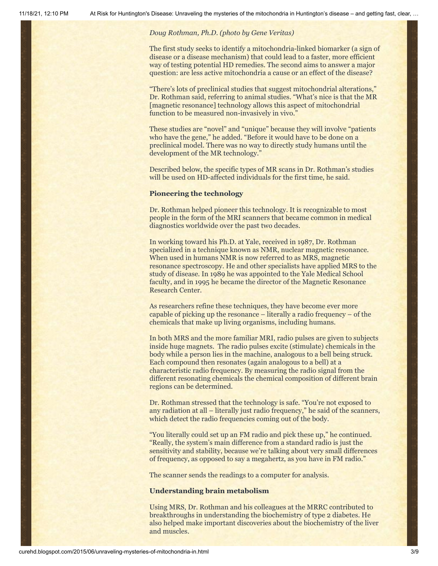#### *Doug Rothman, Ph.D. (photo by Gene Veritas)*

The first study seeks to identify a mitochondria-linked biomarker (a sign of disease or a disease mechanism) that could lead to a faster, more efficient way of testing potential HD remedies. The second aims to answer a major question: are less active mitochondria a cause or an effect of the disease?

"There's lots of preclinical studies that suggest mitochondrial alterations," Dr. Rothman said, referring to animal studies. "What's nice is that the MR [magnetic resonance] technology allows this aspect of mitochondrial function to be measured non-invasively in vivo."

These studies are "novel" and "unique" because they will involve "patients who have the gene," he added. "Before it would have to be done on a preclinical model. There was no way to directly study humans until the development of the MR technology."

Described below, the specific types of MR scans in Dr. Rothman's studies will be used on HD-affected individuals for the first time, he said.

#### **Pioneering the technology**

Dr. Rothman helped pioneer this technology. It is recognizable to most people in the form of the MRI scanners that became common in medical diagnostics worldwide over the past two decades.

In working toward his Ph.D. at Yale, received in 1987, Dr. Rothman specialized in a technique known as NMR, nuclear magnetic resonance. When used in humans NMR is now referred to as MRS, magnetic resonance spectroscopy. He and other specialists have applied MRS to the study of disease. In 1989 he was appointed to the Yale Medical School faculty, and in 1995 he became the director of the Magnetic Resonance Research Center.

As researchers refine these techniques, they have become ever more capable of picking up the resonance – literally a radio frequency – of the chemicals that make up living organisms, including humans.

In both MRS and the more familiar MRI, radio pulses are given to subjects inside huge magnets. The radio pulses excite (stimulate) chemicals in the body while a person lies in the machine, analogous to a bell being struck. Each compound then resonates (again analogous to a bell) at a characteristic radio frequency. By measuring the radio signal from the different resonating chemicals the chemical composition of different brain regions can be determined.

Dr. Rothman stressed that the technology is safe. "You're not exposed to any radiation at all – literally just radio frequency," he said of the scanners, which detect the radio frequencies coming out of the body.

"You literally could set up an FM radio and pick these up," he continued. "Really, the system's main difference from a standard radio is just the sensitivity and stability, because we're talking about very small differences of frequency, as opposed to say a megahertz, as you have in FM radio."

The scanner sends the readings to a computer for analysis.

#### **Understanding brain metabolism**

Using MRS, Dr. Rothman and his colleagues at the MRRC contributed to breakthroughs in understanding the biochemistry of type 2 diabetes. He also helped make important discoveries about the biochemistry of the liver and muscles.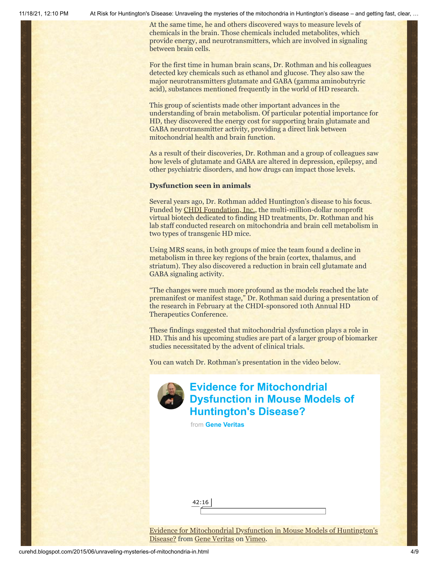11/18/21, 12:10 PM At Risk for Huntington's Disease: Unraveling the mysteries of the mitochondria in Huntington's disease – and getting fast, clear, …

At the same time, he and others discovered ways to measure levels of chemicals in the brain. Those chemicals included metabolites, which provide energy, and neurotransmitters, which are involved in signaling between brain cells.

For the first time in human brain scans, Dr. Rothman and his colleagues detected key chemicals such as ethanol and glucose. They also saw the major neurotransmitters glutamate and GABA (gamma aminobutryric acid), substances mentioned frequently in the world of HD research.

This group of scientists made other important advances in the understanding of brain metabolism. Of particular potential importance for HD, they discovered the energy cost for supporting brain glutamate and GABA neurotransmitter activity, providing a direct link between mitochondrial health and brain function.

As a result of their discoveries, Dr. Rothman and a group of colleagues saw how levels of glutamate and GABA are altered in depression, epilepsy, and other psychiatric disorders, and how drugs can impact those levels.

#### **Dysfunction seen in animals**

Several years ago, Dr. Rothman added Huntington's disease to his focus. Funded by [CHDI Foundation, Inc.,](http://chdifoundation.org/) the multi-million-dollar nonprofit virtual biotech dedicated to finding HD treatments, Dr. Rothman and his lab staff conducted research on mitochondria and brain cell metabolism in two types of transgenic HD mice.

Using MRS scans, in both groups of mice the team found a decline in metabolism in three key regions of the brain (cortex, thalamus, and striatum). They also discovered a reduction in brain cell glutamate and GABA signaling activity.

"The changes were much more profound as the models reached the late premanifest or manifest stage," Dr. Rothman said during a presentation of the research in February at the CHDI-sponsored 10th Annual HD Therapeutics Conference.

These findings suggested that mitochondrial dysfunction plays a role in HD. This and his upcoming studies are part of a larger group of biomarker studies necessitated by the advent of clinical trials.

You can watch Dr. Rothman's presentation in the video below.



# **Evidence for Mitochondrial [Dysfunction in Mouse Models of](https://vimeo.com/121494003?embedded=true&source=video_title&owner=6019843) Huntington's Disease?**

from **[Gene Veritas](https://vimeo.com/user6019843?embedded=true&source=owner_name&owner=6019843)**

42:16

[Evidence for Mitochondrial Dysfunction in Mouse Models of Huntington's](https://vimeo.com/121494003) Disease? from [Gene Veritas](https://vimeo.com/user6019843) on [Vimeo](https://vimeo.com/).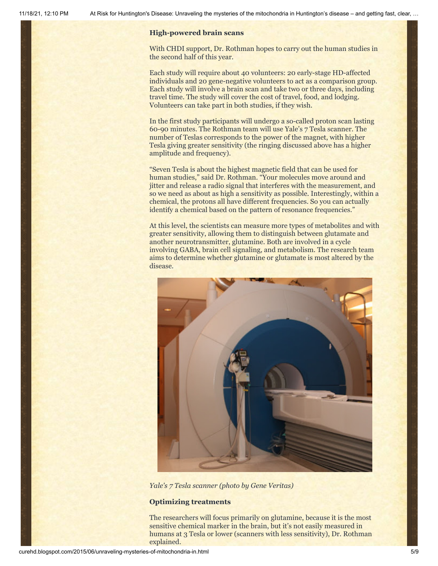#### **High-powered brain scans**

With CHDI support, Dr. Rothman hopes to carry out the human studies in the second half of this year.

Each study will require about 40 volunteers: 20 early-stage HD-affected individuals and 20 gene-negative volunteers to act as a comparison group. Each study will involve a brain scan and take two or three days, including travel time. The study will cover the cost of travel, food, and lodging. Volunteers can take part in both studies, if they wish.

In the first study participants will undergo a so-called proton scan lasting 60-90 minutes. The Rothman team will use Yale's 7 Tesla scanner. The number of Teslas corresponds to the power of the magnet, with higher Tesla giving greater sensitivity (the ringing discussed above has a higher amplitude and frequency).

"Seven Tesla is about the highest magnetic field that can be used for human studies," said Dr. Rothman. "Your molecules move around and jitter and release a radio signal that interferes with the measurement, and so we need as about as high a sensitivity as possible. Interestingly, within a chemical, the protons all have different frequencies. So you can actually identify a chemical based on the pattern of resonance frequencies."

At this level, the scientists can measure more types of metabolites and with greater sensitivity, allowing them to distinguish between glutamate and another neurotransmitter, glutamine. Both are involved in a cycle involving GABA, brain cell signaling, and metabolism. The research team aims to determine whether glutamine or glutamate is most altered by the disease.



*Yale's 7 Tesla scanner (photo by Gene Veritas)*

#### **Optimizing treatments**

The researchers will focus primarily on glutamine, because it is the most sensitive chemical marker in the brain, but it's not easily measured in humans at 3 Tesla or lower (scanners with less sensitivity), Dr. Rothman explained.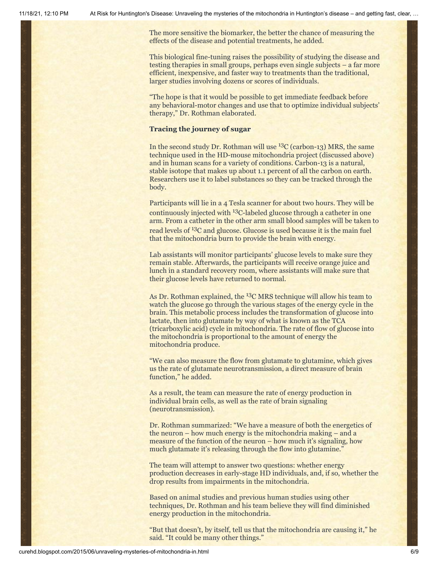The more sensitive the biomarker, the better the chance of measuring the effects of the disease and potential treatments, he added.

This biological fine-tuning raises the possibility of studying the disease and testing therapies in small groups, perhaps even single subjects – a far more efficient, inexpensive, and faster way to treatments than the traditional, larger studies involving dozens or scores of individuals.

"The hope is that it would be possible to get immediate feedback before any behavioral-motor changes and use that to optimize individual subjects' therapy," Dr. Rothman elaborated.

#### **Tracing the journey of sugar**

In the second study Dr. Rothman will use  ${}^{13}C$  (carbon-13) MRS, the same technique used in the HD-mouse mitochondria project (discussed above) and in human scans for a variety of conditions. Carbon-13 is a natural, stable isotope that makes up about 1.1 percent of all the carbon on earth. Researchers use it to label substances so they can be tracked through the body.

Participants will lie in a 4 Tesla scanner for about two hours. They will be continuously injected with 13C-labeled glucose through a catheter in one arm. From a catheter in the other arm small blood samples will be taken to read levels of <sup>13</sup>C and glucose. Glucose is used because it is the main fuel that the mitochondria burn to provide the brain with energy.

Lab assistants will monitor participants' glucose levels to make sure they remain stable. Afterwards, the participants will receive orange juice and lunch in a standard recovery room, where assistants will make sure that their glucose levels have returned to normal.

As Dr. Rothman explained, the <sup>13</sup>C MRS technique will allow his team to watch the glucose go through the various stages of the energy cycle in the brain. This metabolic process includes the transformation of glucose into lactate, then into glutamate by way of what is known as the TCA (tricarboxylic acid) cycle in mitochondria. The rate of flow of glucose into the mitochondria is proportional to the amount of energy the mitochondria produce.

"We can also measure the flow from glutamate to glutamine, which gives us the rate of glutamate neurotransmission, a direct measure of brain function," he added.

As a result, the team can measure the rate of energy production in individual brain cells, as well as the rate of brain signaling (neurotransmission).

Dr. Rothman summarized: "We have a measure of both the energetics of the neuron – how much energy is the mitochondria making – and a measure of the function of the neuron – how much it's signaling, how much glutamate it's releasing through the flow into glutamine."

The team will attempt to answer two questions: whether energy production decreases in early-stage HD individuals, and, if so, whether the drop results from impairments in the mitochondria.

Based on animal studies and previous human studies using other techniques, Dr. Rothman and his team believe they will find diminished energy production in the mitochondria.

"But that doesn't, by itself, tell us that the mitochondria are causing it," he said. "It could be many other things."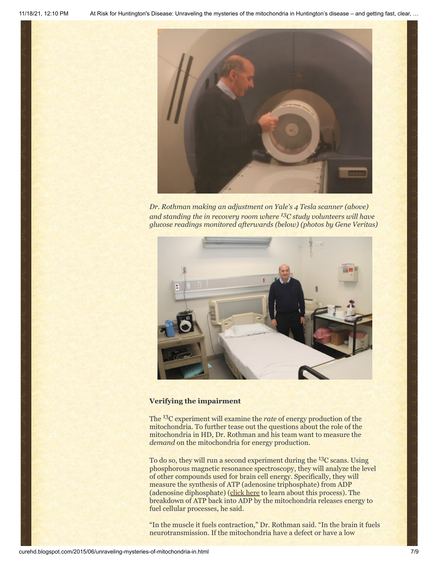

*Dr. Rothman making an adjustment on Yale's 4 Tesla scanner (above) and standing the in recovery room where <sup>13</sup>C study volunteers will have glucose readings monitored afterwards (below) (photos by Gene Veritas)*



#### **Verifying the impairment**

The 13C experiment will examine the *rate* of energy production of the mitochondria. To further tease out the questions about the role of the mitochondria in HD, Dr. Rothman and his team want to measure the *demand* on the mitochondria for energy production.

To do so, they will run a second experiment during the 13C scans. Using phosphorous magnetic resonance spectroscopy, they will analyze the level of other compounds used for brain cell energy. Specifically, they will measure the synthesis of ATP (adenosine triphosphate) from ADP (adenosine diphosphate) ([click here](http://www.brooklyn.cuny.edu/bc/ahp/LAD/C7/C7_atp.html) to learn about this process). The breakdown of ATP back into ADP by the mitochondria releases energy to fuel cellular processes, he said.

"In the muscle it fuels contraction," Dr. Rothman said. "In the brain it fuels neurotransmission. If the mitochondria have a defect or have a low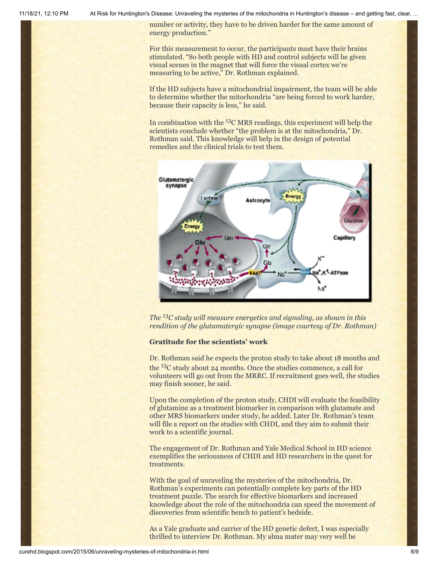11/18/21, 12:10 PM At Risk for Huntington's Disease: Unraveling the mysteries of the mitochondria in Huntington's disease – and getting fast, clear, …

number or activity, they have to be driven harder for the same amount of energy production."

For this measurement to occur, the participants must have their brains stimulated. "So both people with HD and control subjects will be given visual scenes in the magnet that will force the visual cortex we're measuring to be active," Dr. Rothman explained.

If the HD subjects have a mitochondrial impairment, the team will be able to determine whether the mitochondria "are being forced to work harder, because their capacity is less," he said.

In combination with the  $^{13}$ C MRS readings, this experiment will help the scientists conclude whether "the problem is at the mitochondria," Dr. Rothman said. This knowledge will help in the design of potential remedies and the clinical trials to test them.



*The <sup>13</sup>C study will measure energetics and signaling, as shown in this rendition of the glutamatergic synapse (image courtesy of Dr. Rothman)*

#### **Gratitude for the scientists' work**

Dr. Rothman said he expects the proton study to take about 18 months and the 13C study about 24 months. Once the studies commence, a call for volunteers will go out from the MRRC. If recruitment goes well, the studies may finish sooner, he said.

Upon the completion of the proton study, CHDI will evaluate the feasibility of glutamine as a treatment biomarker in comparison with glutamate and other MRS biomarkers under study, he added. Later Dr. Rothman's team will file a report on the studies with CHDI, and they aim to submit their work to a scientific journal.

The engagement of Dr. Rothman and Yale Medical School in HD science exemplifies the seriousness of CHDI and HD researchers in the quest for treatments.

With the goal of unraveling the mysteries of the mitochondria, Dr. Rothman's experiments can potentially complete key parts of the HD treatment puzzle. The search for effective biomarkers and increased knowledge about the role of the mitochondria can speed the movement of discoveries from scientific bench to patient's bedside.

As a Yale graduate and carrier of the HD genetic defect, I was especially thrilled to interview Dr. Rothman. My alma mater may very well be